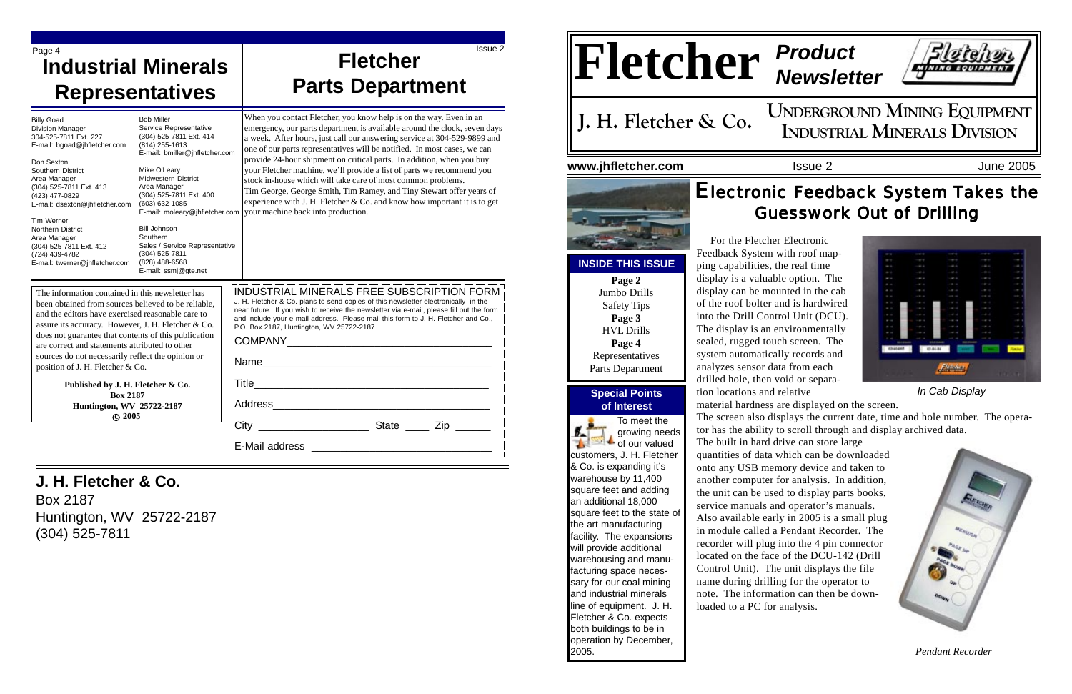## **Special Points of Interest**

**UNDERGROUND MINING EQUIPMENT J. H. Fletcher & Co.** CONDERGROUND IVIINING EQUIPMENT.

# Electronic Feedback System Takes the **Guesswork Out of Drilling**



# **Fletcher** *Product Newsletter*

## **www.jhfletcher.com** Issue 2 **Issue 2** June 2005

 For the Fletcher Electronic Feedback System with roof mapping capabilities, the real time display is a valuable option. The display can be mounted in the cab of the roof bolter and is hardwired into the Drill Control Unit (DCU). The display is an environmentally sealed, rugged touch screen. The system automatically records and analyzes sensor data from each **Listeken** drilled hole, then void or separa-*In Cab Display* tion locations and relative material hardness are displayed on the screen. The screen also displays the current date, time and hole number. The operator has the ability to scroll through and display archived data. The built in hard drive can store large quantities of data which can be downloaded onto any USB memory device and taken to another computer for analysis. In addition, the unit can be used to display parts books, service manuals and operator's manuals. Also available early in 2005 is a small plug in module called a Pendant Recorder. The recorder will plug into the 4 pin connector located on the face of the DCU-142 (Drill Control Unit). The unit displays the file name during drilling for the operator to note. The information can then be downloaded to a PC for analysis.



## The information contained in this newsletter has been obtained from sources believed to be reliable, and the editors have exercised reasonable care to assure its accuracy. However, J. H. Fletcher & Co. does not guarantee that contents of this publication are correct and statements attributed to other sources do not necessarily reflect the opinion or position of J. H. Fletcher & Co.

Bill Johnson **Southern** 

# **J. H. Fletcher & Co.**

# Page 4 **Issue 2** Issue 2 **Industrial Minerals Representatives**

Box 2187 Huntington, WV 25722-2187 (304) 525-7811

**INSIDE THIS ISSUE Page 2** Jumbo Drills Safety Tips **Page 3** HVL Drills **Page 4**

**Published by J. H. Fletcher & Co. Box 2187 Huntington, WV 25722-2187 c 2005**

Billy Goad Division Manager 304-525-7811 Ext. 227 E-mail: bgoad@jhfletcher.com

Don Sexton Southern District Area Manager

(304) 525-7811 Ext. 413 (423) 477-0829

E-mail: dsexton@jhfletcher.com

Tim Werner Northern District Area Manager

(304) 525-7811 Ext. 412 (724) 439-4782

E-mail: twerner@jhfletcher.com

Bob Miller

Service Representative (304) 525-7811 Ext. 414 (814) 255-1613

Mike O'Leary Midwestern District Area Manager (304) 525-7811 Ext. 400 (603) 632-1085

Sales / Service Representative

(304) 525-7811 (828) 488-6568 E-mail: ssmj@gte.net

| INDUSTRIAL MINERALS FREE SUBSCRIPTION FORM<br>J. H. Fletcher & Co. plans to send copies of this newsletter electronically in the<br>near future. If you wish to receive the newsletter via e-mail, please fill out the form<br>and include your e-mail address. Please mail this form to J. H. Fletcher and Co.,<br>P.O. Box 2187, Huntington, WV 25722-2187 |              |
|--------------------------------------------------------------------------------------------------------------------------------------------------------------------------------------------------------------------------------------------------------------------------------------------------------------------------------------------------------------|--------------|
| COMPANY                                                                                                                                                                                                                                                                                                                                                      |              |
| Name                                                                                                                                                                                                                                                                                                                                                         |              |
| Title                                                                                                                                                                                                                                                                                                                                                        |              |
| Address                                                                                                                                                                                                                                                                                                                                                      |              |
| City                                                                                                                                                                                                                                                                                                                                                         | State<br>Zip |
| E-Mail address                                                                                                                                                                                                                                                                                                                                               |              |

Representatives Parts Department



*Pendant Recorder*

# **Fletcher Parts Department**

E-mail: bmiller@jhfletcher.com E-mail: moleary@jhfletcher.com When you contact Fletcher, you know help is on the way. Even in an emergency, our parts department is available around the clock, seven days a week. After hours, just call our answering service at 304-529-9899 and one of our parts representatives will be notified. In most cases, we can provide 24-hour shipment on critical parts. In addition, when you buy your Fletcher machine, we'll provide a list of parts we recommend you stock in-house which will take care of most common problems. Tim George, George Smith, Tim Ramey, and Tiny Stewart offer years of experience with J. H. Fletcher & Co. and know how important it is to get your machine back into production.

> To meet the growing needs  $\bullet$  of our valued customers, J. H. Fletcher & Co. is expanding it's warehouse by 11,400 square feet and adding an additional 18,000 square feet to the state of the art manufacturing facility. The expansions will provide additional warehousing and manufacturing space necessary for our coal mining and industrial minerals line of equipment. J. H. Fletcher & Co. expects both buildings to be in operation by December, 2005.